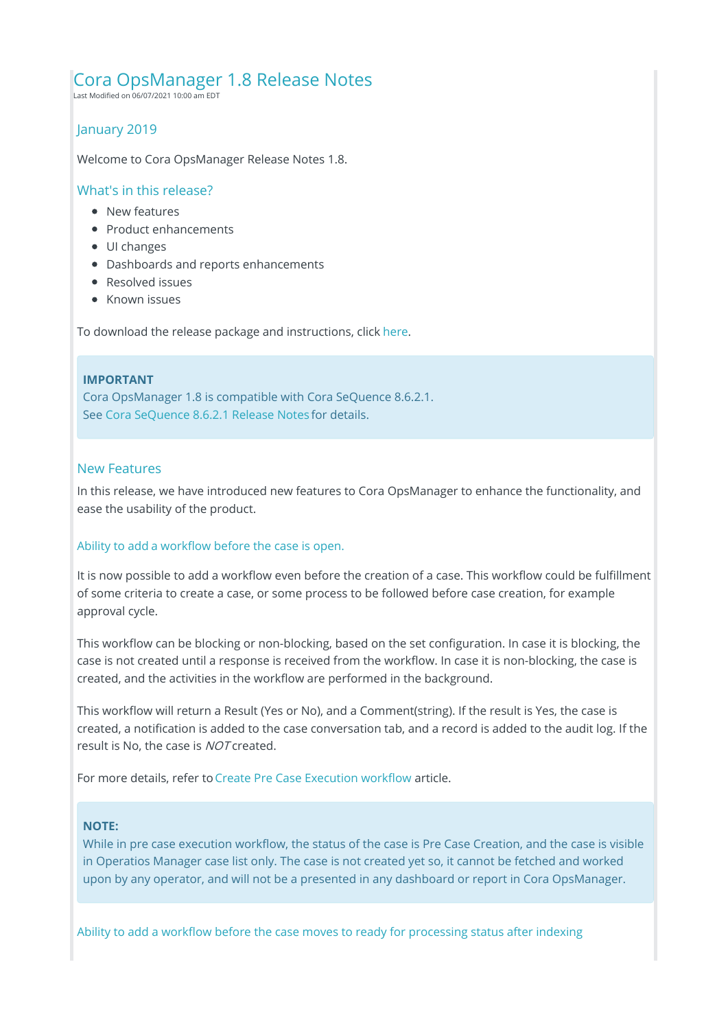# Cora OpsManager 1.8 Release Notes

Last Modified on 06/07/2021 10:00 am EDT

# January 2019

Welcome to Cora OpsManager Release Notes 1.8.

#### What's in this release?

- **New features**
- Product enhancements
- UI changes
- Dashboards and reports enhancements
- Resolved issues
- Known issues

To download the release package and instructions, click here.

#### **IMPORTANT**

Cora OpsManager 1.8 is compatible with Cora SeQuence 8.6.2.1. See Cora SeQuence 8.6.2.1 Release Notes for details.

## New Features

In this release, we have introduced new features to Cora OpsManager to enhance the functionality, and ease the usability of the product.

## Ability to add a workflow before the case is open.

It is now possible to add a workflow even before the creation of a case. This workflow could be fulfillment of some criteria to create a case, or some process to be followed before case creation, for example approval cycle.

This workflow can be blocking or non-blocking, based on the set configuration. In case it is blocking, the case is not created until a response is received from the workflow. In case it is non-blocking, the case is created, and the activities in the workflow are performed in the background.

This workflow will return a Result (Yes or No), and a Comment(string). If the result is Yes, the case is created, a notification is added to the case conversation tab, and a record is added to the audit log. If the result is No, the case is NOT created.

For more details, refer to Create Pre Case Execution workflow article.

#### **NOTE:**

While in pre case execution workflow, the status of the case is Pre Case Creation, and the case is visible in Operatios Manager case list only. The case is not created yet so, it cannot be fetched and worked upon by any operator, and will not be a presented in any dashboard or report in Cora OpsManager.

Ability to add a workflow before the case moves to ready for processing status after indexing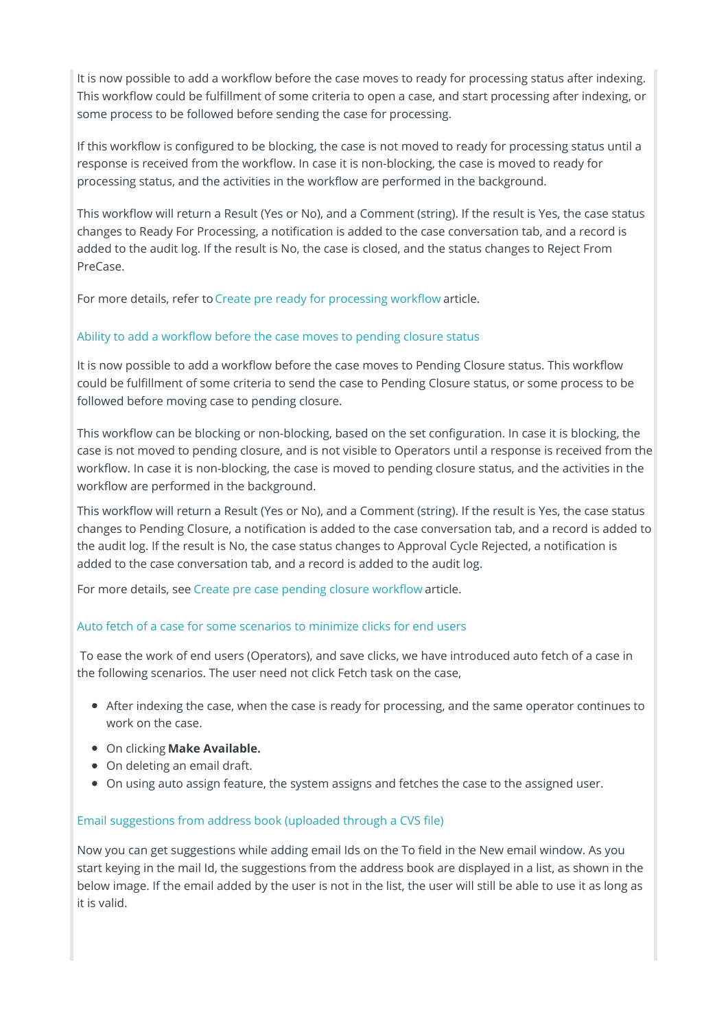It is now possible to add a workflow before the case moves to ready for processing status after indexing. This workflow could be fulfillment of some criteria to open a case, and start processing after indexing, or some process to be followed before sending the case for processing.

If this workflow is configured to be blocking, the case is not moved to ready for processing status until a response is received from the workflow. In case it is non-blocking, the case is moved to ready for processing status, and the activities in the workflow are performed in the background.

This workflow will return a Result (Yes or No), and a Comment (string). If the result is Yes, the case status changes to Ready For Processing, a notification is added to the case conversation tab, and a record is added to the audit log. If the result is No, the case is closed, and the status changes to Reject From PreCase.

For more details, refer to Create pre ready for processing workflow article.

# Ability to add a workflow before the case moves to pending closure status

It is now possible to add a workflow before the case moves to Pending Closure status. This workflow could be fulfillment of some criteria to send the case to Pending Closure status, or some process to be followed before moving case to pending closure.

This workflow can be blocking or non-blocking, based on the set configuration. In case it is blocking, the case is not moved to pending closure, and is not visible to Operators until a response is received from the workflow. In case it is non-blocking, the case is moved to pending closure status, and the activities in the workflow are performed in the background.

This workflow will return a Result (Yes or No), and a Comment (string). If the result is Yes, the case status changes to Pending Closure, a notification is added to the case conversation tab, and a record is added to the audit log. If the result is No, the case status changes to Approval Cycle Rejected, a notification is added to the case conversation tab, and a record is added to the audit log.

For more details, see Create pre case pending closure workflow article.

# Auto fetch of a case for some scenarios to minimize clicks for end users

To ease the work of end users (Operators), and save clicks, we have introduced auto fetch of a case in the following scenarios. The user need not click Fetch task on the case,

- After indexing the case, when the case is ready for processing, and the same operator continues to work on the case.
- On clicking **Make Available.**
- On deleting an email draft.
- On using auto assign feature, the system assigns and fetches the case to the assigned user.

# Email suggestions from address book (uploaded through a CVS file)

Now you can get suggestions while adding email Ids on the To field in the New email window. As you start keying in the mail Id, the suggestions from the address book are displayed in a list, as shown in the below image. If the email added by the user is not in the list, the user will still be able to use it as long as it is valid.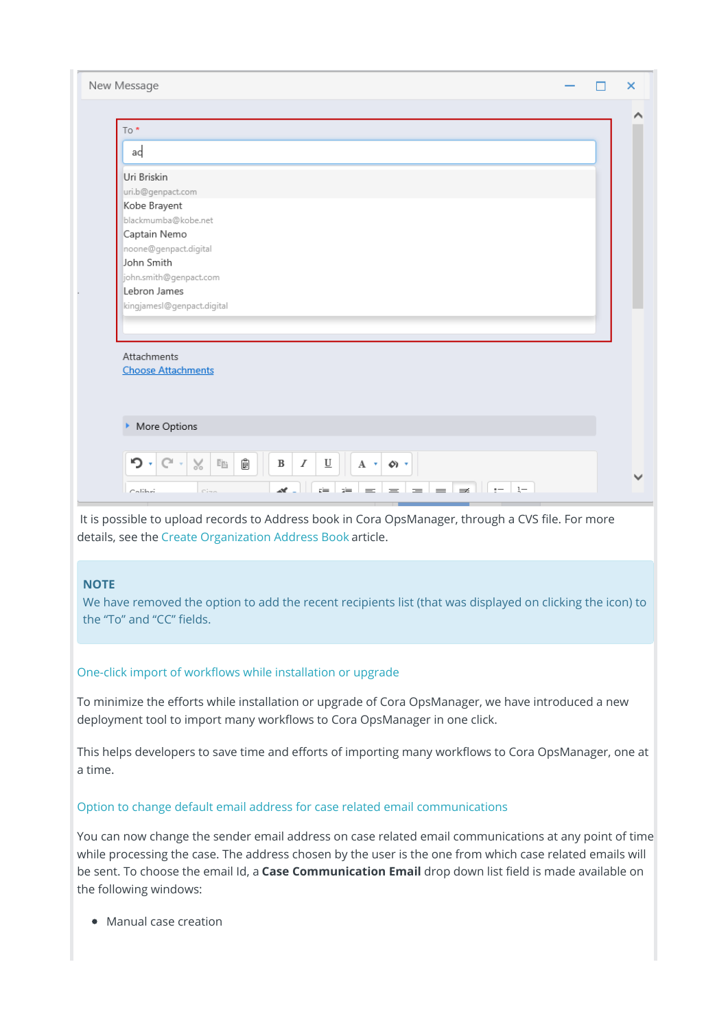| New Message                                                                                                                                 | × |
|---------------------------------------------------------------------------------------------------------------------------------------------|---|
|                                                                                                                                             |   |
| To*                                                                                                                                         |   |
| ad                                                                                                                                          |   |
| Uri Briskin                                                                                                                                 |   |
| uri.b@genpact.com                                                                                                                           |   |
| Kobe Brayent                                                                                                                                |   |
| blackmumba@kobe.net                                                                                                                         |   |
| Captain Nemo                                                                                                                                |   |
| noone@genpact.digital                                                                                                                       |   |
| John Smith                                                                                                                                  |   |
| john.smith@genpact.com                                                                                                                      |   |
| Lebron James                                                                                                                                |   |
| kingjamesl@genpact.digital                                                                                                                  |   |
|                                                                                                                                             |   |
| Attachments                                                                                                                                 |   |
| <b>Choose Attachments</b>                                                                                                                   |   |
|                                                                                                                                             |   |
|                                                                                                                                             |   |
|                                                                                                                                             |   |
| More Options<br>٠                                                                                                                           |   |
|                                                                                                                                             |   |
| ּ ר<br>$\!\!\!\!\times$<br>Ê<br>$C^{\prime}$ .<br>酯<br>$\underline{\mathbf{U}}$<br>$\, {\bf B}$<br>$\boldsymbol{I}$<br>$A \times \emptyset$ |   |
|                                                                                                                                             |   |
| <b>N</b><br>$=$<br>$\equiv$<br>$\equiv$<br>$\equiv$<br>$=$<br>$=$<br>Calibri<br>C <sub>1</sub>                                              |   |
|                                                                                                                                             |   |

It is possible to upload records to Address book in Cora OpsManager, through a CVS file. For more details, see the Create Organization Address Book article.

## **NOTE**

We have removed the option to add the recent recipients list (that was displayed on clicking the icon) to the "To" and "CC" fields.

## One-click import of workflows while installation or upgrade

To minimize the efforts while installation or upgrade of Cora OpsManager, we have introduced a new deployment tool to import many workflows to Cora OpsManager in one click.

This helps developers to save time and efforts of importing many workflows to Cora OpsManager, one at a time.

#### Option to change default email address for case related email communications

You can now change the sender email address on case related email communications at any point of time while processing the case. The address chosen by the user is the one from which case related emails will be sent. To choose the email Id, a **Case Communication Email** drop down list field is made available on the following windows:

• Manual case creation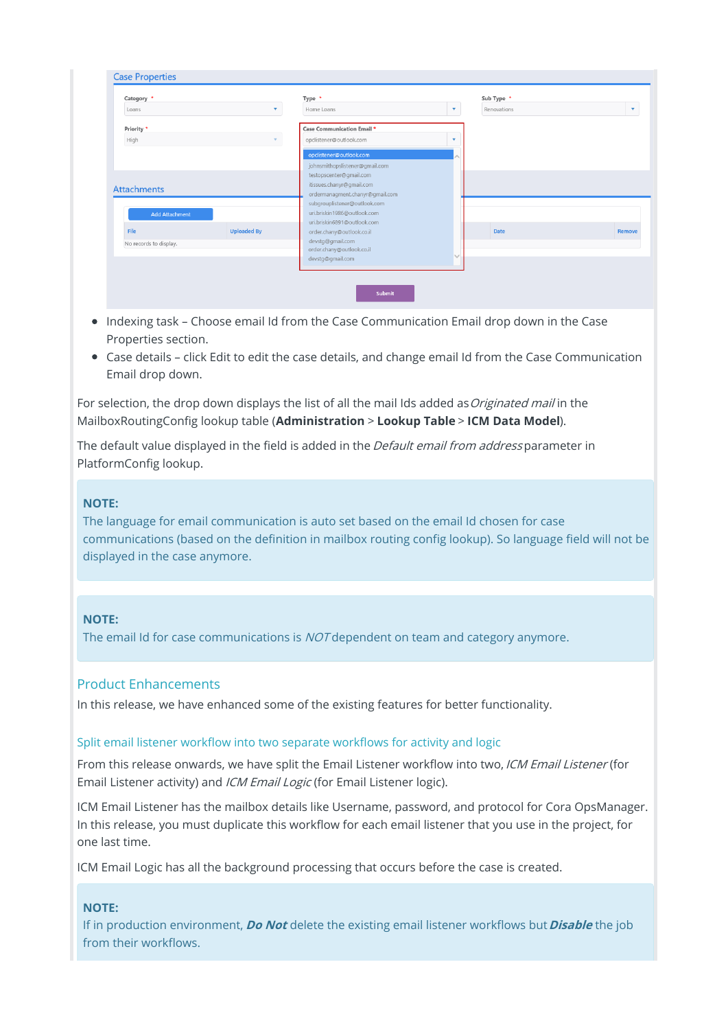| Category *             |                    | Type *                                                      |   | Sub Type *  |               |
|------------------------|--------------------|-------------------------------------------------------------|---|-------------|---------------|
| Loans                  | v                  | Home Loans                                                  | v | Renovations | ÷             |
| Priority *             |                    | Case Communication Email *                                  |   |             |               |
| High                   | $\mathbf{v}$ .     | opclistener@outlook.com                                     |   |             |               |
|                        |                    | opclistener@outlook.com                                     |   |             |               |
|                        |                    | johnsmithopslistener@gmail.com                              |   |             |               |
|                        |                    | testopscenter@gmail.com<br>itissues.chanyr@gmail.com        |   |             |               |
| <b>Attachments</b>     |                    | ordermanagment.chanyr@gmail.com                             |   |             |               |
|                        |                    | subgrouplistener@outlook.com<br>uri.briskin1986@outlook.com |   |             |               |
| <b>Add Attachment</b>  |                    | uri.briskin6891@outlook.com                                 |   |             |               |
| File                   | <b>Uploaded By</b> | order.chany@outlook.co.il                                   |   | Date        | <b>Remove</b> |
| No records to display. |                    | devstg@gmail.com<br>order.chany@outlook.co.il               |   |             |               |
|                        |                    | devstg@gmail.com                                            |   |             |               |
|                        |                    |                                                             |   |             |               |

- Indexing task Choose email Id from the Case Communication Email drop down in the Case Properties section.
- Case details click Edit to edit the case details, and change email Id from the Case Communication Email drop down.

For selection, the drop down displays the list of all the mail Ids added as *Originated mail* in the MailboxRoutingConfig lookup table (**Administration** > **Lookup Table** > **ICM Data Model**).

The default value displayed in the field is added in the Default email from address parameter in PlatformConfig lookup.

#### **NOTE:**

The language for email communication is auto set based on the email Id chosen for case communications (based on the definition in mailbox routing config lookup). So language field will not be displayed in the case anymore.

## **NOTE:**

The email Id for case communications is *NOT* dependent on team and category anymore.

## Product Enhancements

In this release, we have enhanced some of the existing features for better functionality.

## Split email listener workflow into two separate workflows for activity and logic

From this release onwards, we have split the Email Listener workflow into two, ICM Email Listener (for Email Listener activity) and *ICM Email Logic* (for Email Listener logic).

ICM Email Listener has the mailbox details like Username, password, and protocol for Cora OpsManager. In this release, you must duplicate this workflow for each email listener that you use in the project, for one last time.

ICM Email Logic has all the background processing that occurs before the case is created.

## **NOTE:**

If in production environment, **Do Not** delete the existing email listener workflows but **Disable** the job from their workflows.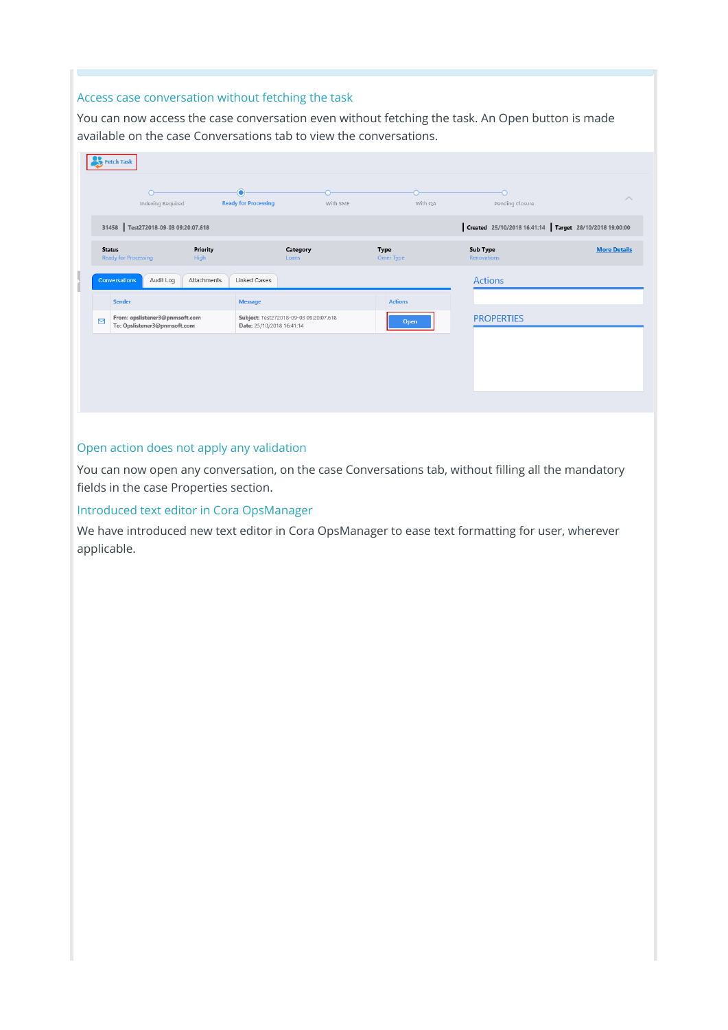## Access case conversation without fetching the task

You can now access the case conversation even without fetching the task. An Open button is made available on the case Conversations tab to view the conversations.

|                  | <b>Fetch Task</b>                                              |                  |                                                                     |          |                          |                                |                                                        |
|------------------|----------------------------------------------------------------|------------------|---------------------------------------------------------------------|----------|--------------------------|--------------------------------|--------------------------------------------------------|
|                  | Indexing Required                                              |                  | $\bullet$<br><b>Ready for Processing</b>                            | With SME | With QA                  | O<br>Pending Closure           | $\wedge$                                               |
|                  | 31458 Test272018-09-03 09:20:07.618                            |                  |                                                                     |          |                          |                                | Created 25/10/2018 16:41:14 Target 28/10/2018 19:00:00 |
|                  | <b>Status</b><br><b>Ready for Processing</b>                   | Priority<br>High | Category<br>Loans                                                   |          | <b>Type</b><br>Omer Type | <b>Sub Type</b><br>Renovations | <b>More Details</b>                                    |
|                  | Audit Log<br>Conversations                                     | Attachments      | Linked Cases                                                        |          |                          | <b>Actions</b>                 |                                                        |
|                  | Sender                                                         |                  | <b>Message</b>                                                      |          | <b>Actions</b>           |                                |                                                        |
| $\triangleright$ | From: opslistener3@pnmsoft.com<br>To: Opslistener3@pnmsoft.com |                  | Subject: Test272018-09-03 09:20:07.618<br>Date: 25/10/2018 16:41:14 |          | Open                     | <b>PROPERTIES</b>              |                                                        |
|                  |                                                                |                  |                                                                     |          |                          |                                |                                                        |
|                  |                                                                |                  |                                                                     |          |                          |                                |                                                        |
|                  |                                                                |                  |                                                                     |          |                          |                                |                                                        |
|                  |                                                                |                  |                                                                     |          |                          |                                |                                                        |

#### Open action does not apply any validation

You can now open any conversation, on the case Conversations tab, without filling all the mandatory fields in the case Properties section.

#### Introduced text editor in Cora OpsManager

We have introduced new text editor in Cora OpsManager to ease text formatting for user, wherever applicable.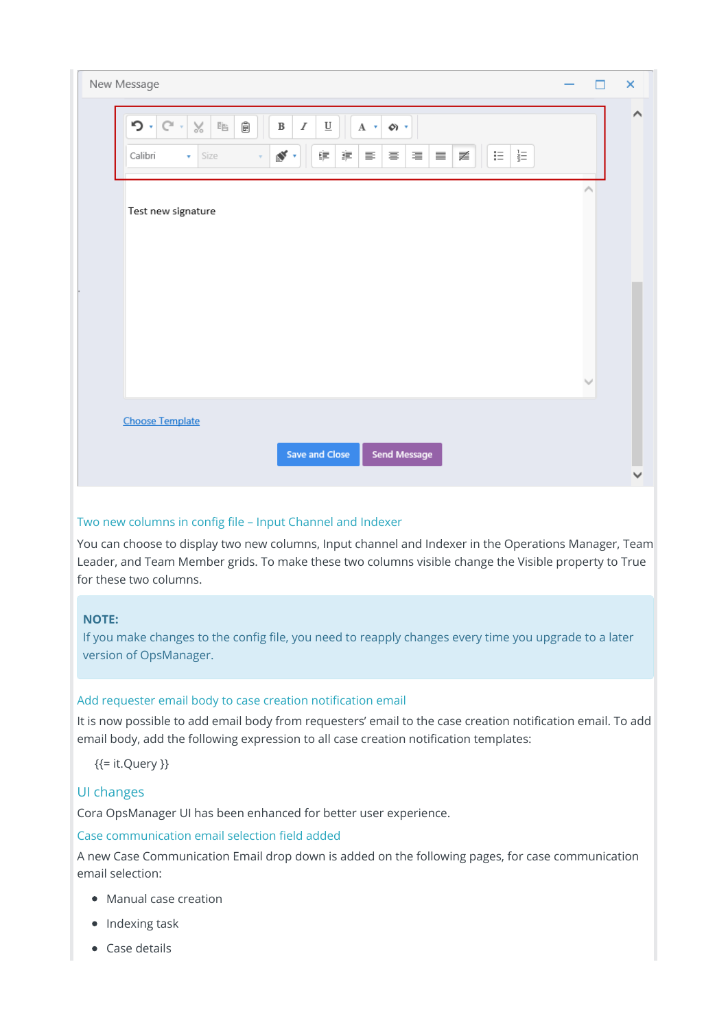| New Message                                                                                                                                                                                                                                                                                                                                    | n                   | $\pmb{\times}$ |
|------------------------------------------------------------------------------------------------------------------------------------------------------------------------------------------------------------------------------------------------------------------------------------------------------------------------------------------------|---------------------|----------------|
| Ê<br>$\mathcal{P} \cdot \mathbb{C}$<br>$\!\!\!\!\!\times$<br>$\mathbb{F}$<br>$\boldsymbol{I}$<br>$\underline{\underline{\mathsf{U}}}$<br>$\, {\bf B}$<br>A $\left  \mathbf{v} \right $<br>$\phi$<br>늝<br>$\mathbf{N}$ .<br>譚<br>事<br>$\mathrel{\mathop:}=$<br>髪<br>Calibri<br>Size<br>手<br>亖<br>三<br>$\equiv$<br>$\mathbf{v}$<br>$\bar{\rm v}$ |                     | $\wedge$       |
| Test new signature                                                                                                                                                                                                                                                                                                                             | $\hat{\phantom{a}}$ |                |
|                                                                                                                                                                                                                                                                                                                                                |                     |                |
| <b>Choose Template</b>                                                                                                                                                                                                                                                                                                                         | $\searrow$          |                |
| Save and Close<br><b>Send Message</b>                                                                                                                                                                                                                                                                                                          |                     | v              |

# Two new columns in config file – Input Channel and Indexer

You can choose to display two new columns, Input channel and Indexer in the Operations Manager, Team Leader, and Team Member grids. To make these two columns visible change the Visible property to True for these two columns.

# **NOTE:**

If you make changes to the config file, you need to reapply changes every time you upgrade to a later version of OpsManager.

# Add requester email body to case creation notification email

It is now possible to add email body from requesters' email to the case creation notification email. To add email body, add the following expression to all case creation notification templates:

{{= it.Query }}

# UI changes

Cora OpsManager UI has been enhanced for better user experience.

## Case communication email selection field added

A new Case Communication Email drop down is added on the following pages, for case communication email selection:

- Manual case creation
- Indexing task
- Case details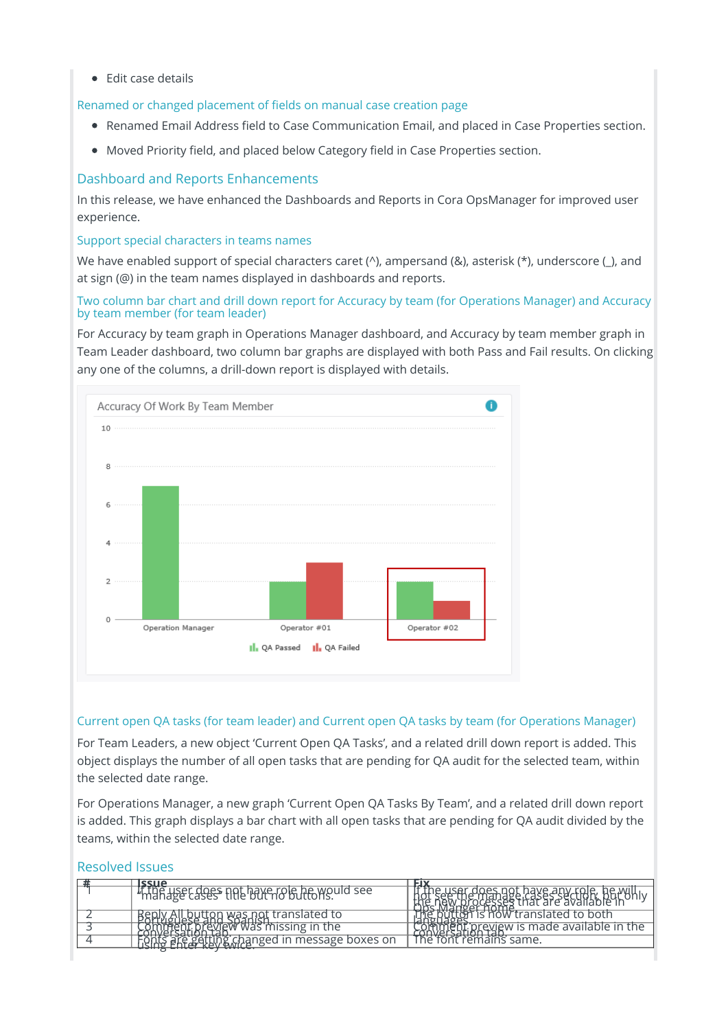$\bullet$  Edit case details

Renamed or changed placement of fields on manual case creation page

- Renamed Email Address field to Case Communication Email, and placed in Case Properties section.
- Moved Priority field, and placed below Category field in Case Properties section.

# Dashboard and Reports Enhancements

In this release, we have enhanced the Dashboards and Reports in Cora OpsManager for improved user experience.

## Support special characters in teams names

We have enabled support of special characters caret (^), ampersand (&), asterisk (\*), underscore (\_), and at sign (@) in the team names displayed in dashboards and reports.

## Two column bar chart and drill down report for Accuracy by team (for Operations Manager) and Accuracy by team member (for team leader)

For Accuracy by team graph in Operations Manager dashboard, and Accuracy by team member graph in Team Leader dashboard, two column bar graphs are displayed with both Pass and Fail results. On clicking any one of the columns, a drill-down report is displayed with details.



## Current open QA tasks (for team leader) and Current open QA tasks by team (for Operations Manager)

For Team Leaders, a new object 'Current Open QA Tasks', and a related drill down report is added. This object displays the number of all open tasks that are pending for QA audit for the selected team, within the selected date range.

For Operations Manager, a new graph 'Current Open QA Tasks By Team', and a related drill down report is added. This graph displays a bar chart with all open tasks that are pending for QA audit divided by the teams, within the selected date range.

# Resolved Issues

| 19311                                             | EIX                                                                                 |
|---------------------------------------------------|-------------------------------------------------------------------------------------|
| If the user does not have role he would see       | ie user does not have any role, he will i<br>- Reviewed as a first are available in |
| Beply All button was not translated to            | puttor is now translated to both                                                    |
| <b><i>Then. breview was missing in the</i></b>    | comment preview is made available in the                                            |
| <u>Entre getting changed in message boxes on </u> | The font remains same.                                                              |
|                                                   |                                                                                     |